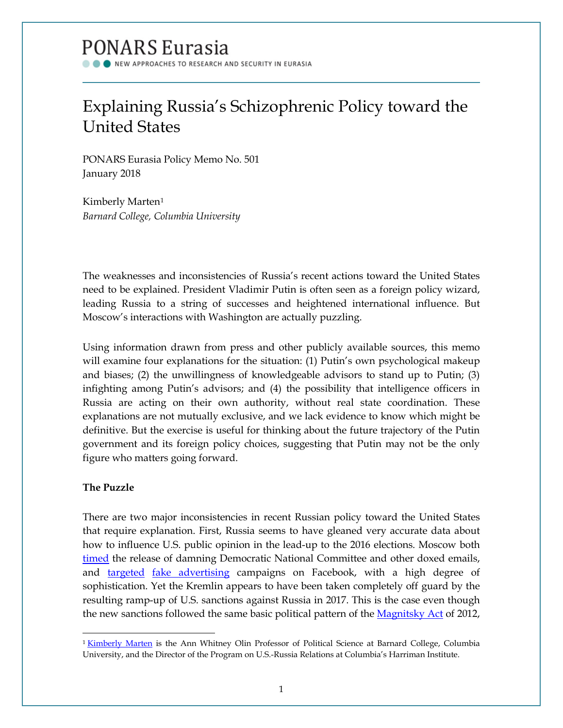# PONARS Eurasia

NEW APPROACHES TO RESEARCH AND SECURITY IN EURASIA

# Explaining Russia's Schizophrenic Policy toward the United States

PONARS Eurasia Policy Memo No. 501 January 2018

Kimberly Marten[1](#page-0-0) *Barnard College, Columbia University*

The weaknesses and inconsistencies of Russia's recent actions toward the United States need to be explained. President Vladimir Putin is often seen as a foreign policy wizard, leading Russia to a string of successes and heightened international influence. But Moscow's interactions with Washington are actually puzzling.

Using information drawn from press and other publicly available sources, this memo will examine four explanations for the situation: (1) Putin's own psychological makeup and biases; (2) the unwillingness of knowledgeable advisors to stand up to Putin; (3) infighting among Putin's advisors; and (4) the possibility that intelligence officers in Russia are acting on their own authority, without real state coordination. These explanations are not mutually exclusive, and we lack evidence to know which might be definitive. But the exercise is useful for thinking about the future trajectory of the Putin government and its foreign policy choices, suggesting that Putin may not be the only figure who matters going forward.

### **The Puzzle**

There are two major inconsistencies in recent Russian policy toward the United States that require explanation. First, Russia seems to have gleaned very accurate data about how to influence U.S. public opinion in the lead-up to the 2016 elections. Moscow both [timed](https://www.nytimes.com/interactive/2016/07/27/us/politics/trail-of-dnc-emails-russia-hacking.html) the release of damning Democratic National Committee and other doxed emails, and [targeted](http://www.cnn.com/2017/10/03/politics/russian-facebook-ads-michigan-wisconsin/index.html?utm_source=Sailthru&utm_medium=email&utm_campaign=New%20Campaign&utm_term=%2ASituation%20Report) [fake advertising](http://www.politico.com/story/2017/10/02/facebook-russia-ads-243390) campaigns on Facebook, with a high degree of sophistication. Yet the Kremlin appears to have been taken completely off guard by the resulting ramp-up of U.S. sanctions against Russia in 2017. This is the case even though the new sanctions followed the same basic political pattern of the [Magnitsky Act](https://www.the-american-interest.com/2017/07/24/trump-bends-congress-russia-sanctions/) of 2012,

<span id="page-0-0"></span> $\overline{\phantom{a}}$ <sup>1</sup> [Kimberly Marten](http://www.ponarseurasia.org/members/kimberly-marten) is the Ann Whitney Olin Professor of Political Science at Barnard College, Columbia University, and the Director of the Program on U.S.-Russia Relations at Columbia's Harriman Institute.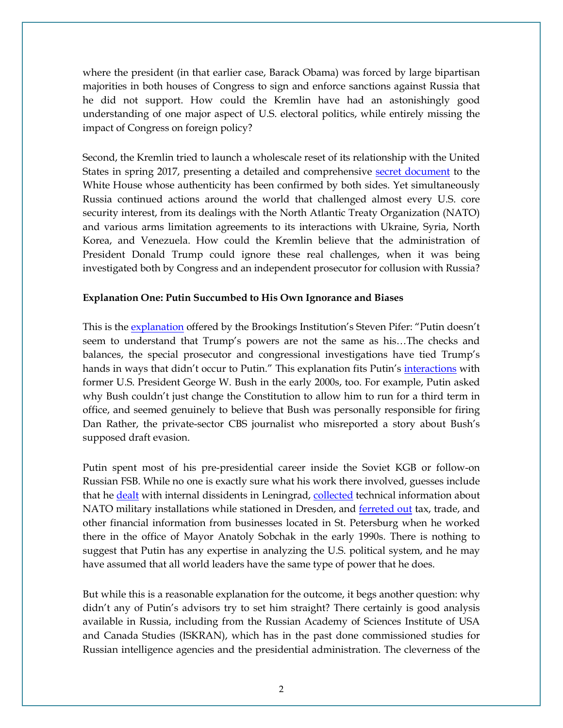where the president (in that earlier case, Barack Obama) was forced by large bipartisan majorities in both houses of Congress to sign and enforce sanctions against Russia that he did not support. How could the Kremlin have had an astonishingly good understanding of one major aspect of U.S. electoral politics, while entirely missing the impact of Congress on foreign policy?

Second, the Kremlin tried to launch a wholescale reset of its relationship with the United States in spring 2017, presenting a detailed and comprehensive [secret document](https://www.buzzfeed.com/johnhudson/russia-sought-a-broad-reset-with-trump-secret-document-shows) to the White House whose authenticity has been confirmed by both sides. Yet simultaneously Russia continued actions around the world that challenged almost every U.S. core security interest, from its dealings with the North Atlantic Treaty Organization (NATO) and various arms limitation agreements to its interactions with Ukraine, Syria, North Korea, and Venezuela. How could the Kremlin believe that the administration of President Donald Trump could ignore these real challenges, when it was being investigated both by Congress and an independent prosecutor for collusion with Russia?

#### **Explanation One: Putin Succumbed to His Own Ignorance and Biases**

This is the [explanation](https://www.buzzfeed.com/johnhudson/russia-sought-a-broad-reset-with-trump-secret-document-shows) offered by the Brookings Institution's Steven Pifer: "Putin doesn't seem to understand that Trump's powers are not the same as his…The checks and balances, the special prosecutor and congressional investigations have tied Trump's hands in ways that didn't occur to Putin." This explanation fits Putin's <u>interactions</u> with former U.S. President George W. Bush in the early 2000s, too. For example, Putin asked why Bush couldn't just change the Constitution to allow him to run for a third term in office, and seemed genuinely to believe that Bush was personally responsible for firing Dan Rather, the private-sector CBS journalist who misreported a story about Bush's supposed draft evasion.

Putin spent most of his pre-presidential career inside the Soviet KGB or follow-on Russian FSB. While no one is exactly sure what his work there involved, guesses include that he **dealt** with internal dissidents in Leningrad, [collected](https://www.brookings.edu/book/mr-putin/) technical information about NATO military installations while stationed in Dresden, and [ferreted out](https://www.brookings.edu/book/mr-putin/) tax, trade, and other financial information from businesses located in St. Petersburg when he worked there in the office of Mayor Anatoly Sobchak in the early 1990s. There is nothing to suggest that Putin has any expertise in analyzing the U.S. political system, and he may have assumed that all world leaders have the same type of power that he does.

But while this is a reasonable explanation for the outcome, it begs another question: why didn't any of Putin's advisors try to set him straight? There certainly is good analysis available in Russia, including from the Russian Academy of Sciences Institute of USA and Canada Studies (ISKRAN), which has in the past done commissioned studies for Russian intelligence agencies and the presidential administration. The cleverness of the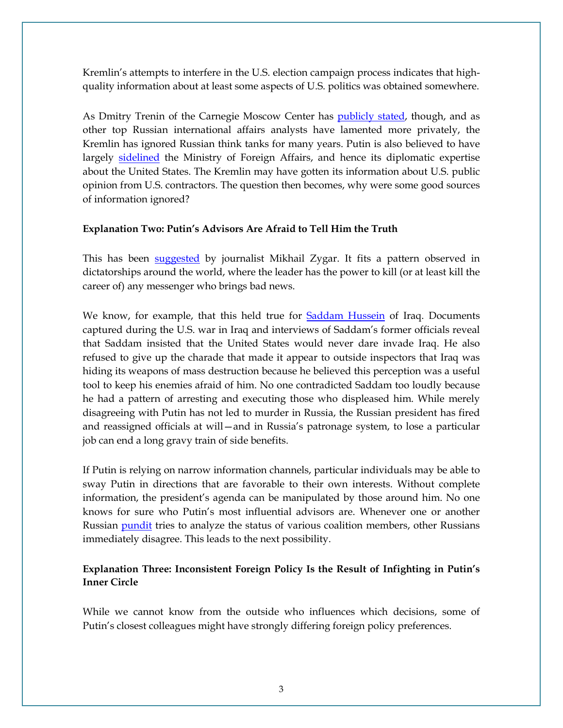Kremlin's attempts to interfere in the U.S. election campaign process indicates that highquality information about at least some aspects of U.S. politics was obtained somewhere.

As Dmitry Trenin of the Carnegie Moscow Center has [publicly stated,](http://www.russia-direct.org/analysis/why-even-best-russian-think-tanks-struggle-influence-foreign-policy) though, and as other top Russian international affairs analysts have lamented more privately, the Kremlin has ignored Russian think tanks for many years. Putin is also believed to have largely [sidelined](http://foreignpolicy.com/2016/02/17/free-sergei-lavrov-putin-russia-syria/) the Ministry of Foreign Affairs, and hence its diplomatic expertise about the United States. The Kremlin may have gotten its information about U.S. public opinion from U.S. contractors. The question then becomes, why were some good sources of information ignored?

#### **Explanation Two: Putin's Advisors Are Afraid to Tell Him the Truth**

This has been [suggested](https://www.amazon.com/All-Kremlins-Men-Inside-Vladimir/dp/1610397398) by journalist Mikhail Zygar. It fits a pattern observed in dictatorships around the world, where the leader has the power to kill (or at least kill the career of) any messenger who brings bad news.

We know, for example, that this held true for [Saddam Hussein](https://www.foreignaffairs.com/articles/iraq/2006-05-01/saddams-delusions) of Iraq. Documents captured during the U.S. war in Iraq and interviews of Saddam's former officials reveal that Saddam insisted that the United States would never dare invade Iraq. He also refused to give up the charade that made it appear to outside inspectors that Iraq was hiding its weapons of mass destruction because he believed this perception was a useful tool to keep his enemies afraid of him. No one contradicted Saddam too loudly because he had a pattern of arresting and executing those who displeased him. While merely disagreeing with Putin has not led to murder in Russia, the Russian president has fired and reassigned officials at will—and in Russia's patronage system, to lose a particular job can end a long gravy train of side benefits.

If Putin is relying on narrow information channels, particular individuals may be able to sway Putin in directions that are favorable to their own interests. Without complete information, the president's agenda can be manipulated by those around him. No one knows for sure who Putin's most influential advisors are. Whenever one or another Russian [pundit](http://minchenko.ru/analitika/analitika_74.html) tries to analyze the status of various coalition members, other Russians immediately disagree. This leads to the next possibility.

## **Explanation Three: Inconsistent Foreign Policy Is the Result of Infighting in Putin's Inner Circle**

While we cannot know from the outside who influences which decisions, some of Putin's closest colleagues might have strongly differing foreign policy preferences.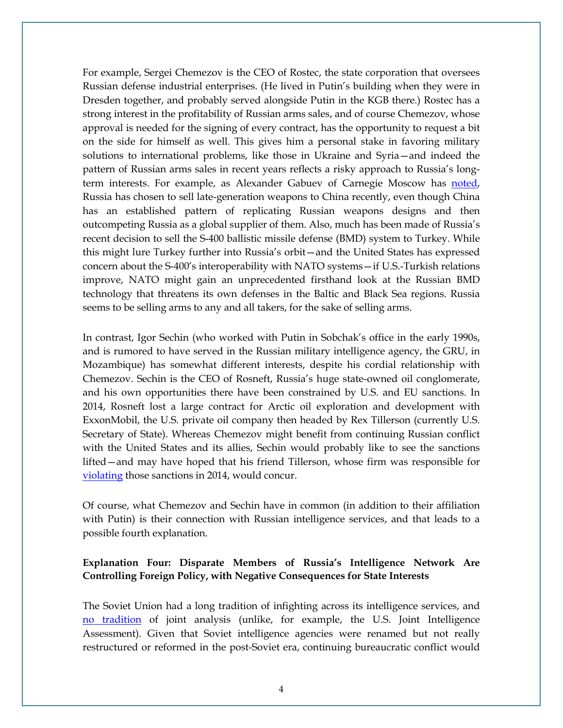For example, Sergei Chemezov is the CEO of Rostec, the state corporation that oversees Russian defense industrial enterprises. (He lived in Putin's building when they were in Dresden together, and probably served alongside Putin in the KGB there.) Rostec has a strong interest in the profitability of Russian arms sales, and of course Chemezov, whose approval is needed for the signing of every contract, has the opportunity to request a bit on the side for himself as well. This gives him a personal stake in favoring military solutions to international problems, like those in Ukraine and Syria—and indeed the pattern of Russian arms sales in recent years reflects a risky approach to Russia's longterm interests. For example, as Alexander Gabuev of Carnegie Moscow has [noted,](http://carnegie.ru/2016/06/29/friends-with-benefits-russian-chinese-relations-after-ukraine-crisis-pub-63953)  Russia has chosen to sell late-generation weapons to China recently, even though China has an established pattern of replicating Russian weapons designs and then outcompeting Russia as a global supplier of them. Also, much has been made of Russia's recent decision to sell the S-400 ballistic missile defense (BMD) system to Turkey. While this might lure Turkey further into Russia's orbit—and the United States has expressed concern about the S-400's interoperability with NATO systems—if U.S.-Turkish relations improve, NATO might gain an unprecedented firsthand look at the Russian BMD technology that threatens its own defenses in the Baltic and Black Sea regions. Russia seems to be selling arms to any and all takers, for the sake of selling arms.

In contrast, Igor Sechin (who worked with Putin in Sobchak's office in the early 1990s, and is rumored to have served in the Russian military intelligence agency, the GRU, in Mozambique) has somewhat different interests, despite his cordial relationship with Chemezov. Sechin is the CEO of Rosneft, Russia's huge state-owned oil conglomerate, and his own opportunities there have been constrained by U.S. and EU sanctions. In 2014, Rosneft lost a large contract for Arctic oil exploration and development with ExxonMobil, the U.S. private oil company then headed by Rex Tillerson (currently U.S. Secretary of State). Whereas Chemezov might benefit from continuing Russian conflict with the United States and its allies, Sechin would probably like to see the sanctions lifted—and may have hoped that his friend Tillerson, whose firm was responsible for [violating](https://www.nytimes.com/2017/07/20/us/politics/exxon-mobil-fined-russia-tillerson-sanctions.html) those sanctions in 2014, would concur.

Of course, what Chemezov and Sechin have in common (in addition to their affiliation with Putin) is their connection with Russian intelligence services, and that leads to a possible fourth explanation.

#### **Explanation Four: Disparate Members of Russia's Intelligence Network Are Controlling Foreign Policy, with Negative Consequences for State Interests**

The Soviet Union had a long tradition of infighting across its intelligence services, and [no tradition](https://www.researchgate.net/publication/298016997_Terrorism) of joint analysis (unlike, for example, the U.S. Joint Intelligence Assessment). Given that Soviet intelligence agencies were renamed but not really restructured or reformed in the post-Soviet era, continuing bureaucratic conflict would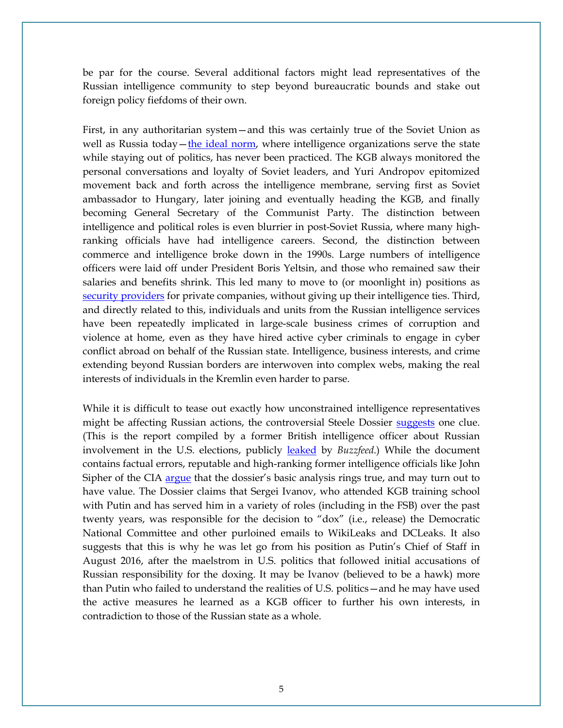be par for the course. Several additional factors might lead representatives of the Russian intelligence community to step beyond bureaucratic bounds and stake out foreign policy fiefdoms of their own.

First, in any authoritarian system—and this was certainly true of the Soviet Union as well as Russia today[—the ideal norm,](https://www.amazon.com/Intelligence-Intervention-Politics-Democratic-States/dp/0271025751) where intelligence organizations serve the state while staying out of politics, has never been practiced. The KGB always monitored the personal conversations and loyalty of Soviet leaders, and Yuri Andropov epitomized movement back and forth across the intelligence membrane, serving first as Soviet ambassador to Hungary, later joining and eventually heading the KGB, and finally becoming General Secretary of the Communist Party. The distinction between intelligence and political roles is even blurrier in post-Soviet Russia, where many highranking officials have had intelligence careers. Second, the distinction between commerce and intelligence broke down in the 1990s. Large numbers of intelligence officers were laid off under President Boris Yeltsin, and those who remained saw their salaries and benefits shrink. This led many to move to (or moonlight in) positions as [security providers](http://www.cornellpress.cornell.edu/book/?GCOI=80140100364090) for private companies, without giving up their intelligence ties. Third, and directly related to this, individuals and units from the Russian intelligence services have been repeatedly implicated in large-scale business crimes of corruption and violence at home, even as they have hired active cyber criminals to engage in cyber conflict abroad on behalf of the Russian state. Intelligence, business interests, and crime extending beyond Russian borders are interwoven into complex webs, making the real interests of individuals in the Kremlin even harder to parse.

While it is difficult to tease out exactly how unconstrained intelligence representatives might be affecting Russian actions, the controversial Steele Dossier [suggests](https://assets.documentcloud.org/documents/3259984/Trump-Intelligence-Allegations.pdf) one clue. (This is the report compiled by a former British intelligence officer about Russian involvement in the U.S. elections, publicly [leaked](https://www.buzzfeed.com/kenbensinger/these-reports-allege-trump-has-deep-ties-to-russia) by *Buzzfeed*.) While the document contains factual errors, reputable and high-ranking former intelligence officials like John Sipher of the CIA [argue](https://www.justsecurity.org/44697/steele-dossier-knowing/) that the dossier's basic analysis rings true, and may turn out to have value. The Dossier claims that Sergei Ivanov, who attended KGB training school with Putin and has served him in a variety of roles (including in the FSB) over the past twenty years, was responsible for the decision to "dox" (i.e., release) the Democratic National Committee and other purloined emails to WikiLeaks and DCLeaks. It also suggests that this is why he was let go from his position as Putin's Chief of Staff in August 2016, after the maelstrom in U.S. politics that followed initial accusations of Russian responsibility for the doxing. It may be Ivanov (believed to be a hawk) more than Putin who failed to understand the realities of U.S. politics—and he may have used the active measures he learned as a KGB officer to further his own interests, in contradiction to those of the Russian state as a whole.